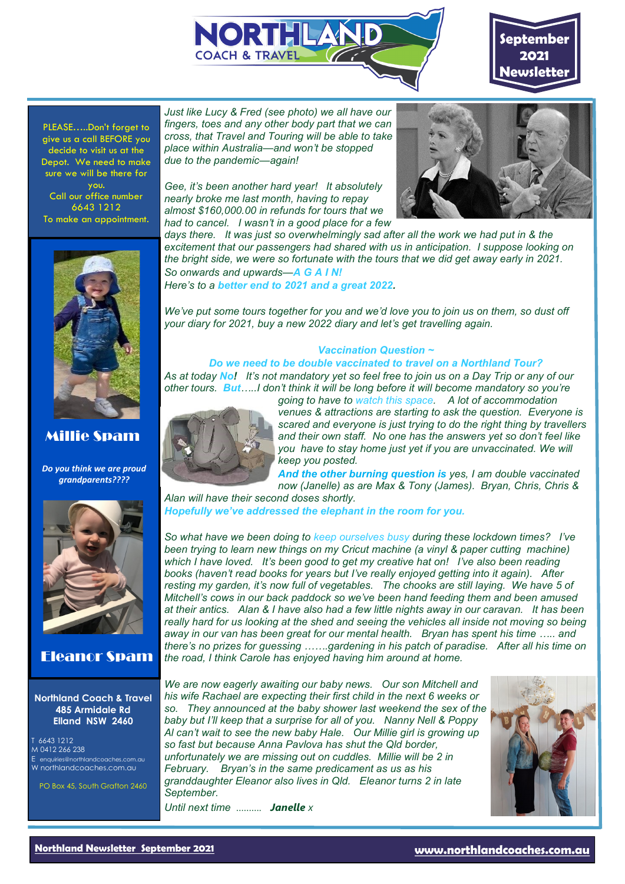



PLEASE…..Don't forget to give us a call BEFORE you decide to visit us at the Depot. We need to make sure we will be there for you. Call our office number 6643 1212 To make an appointment.



## Millie Spam

*Do you think we are proud grandparents????*



## Eleanor Spam

#### **Northland Coach & Travel 485 Armidale Rd Elland NSW 2460**

T 6643 1212 M 0412 266 238 E enquiries@northlandcoaches.com.au W northlandcoaches.com.au

PO Box 45, South Grafton 2460

*Just like Lucy & Fred (see photo) we all have our fingers, toes and any other body part that we can cross, that Travel and Touring will be able to take place within Australia—and won't be stopped due to the pandemic—again!* 

*Gee, it's been another hard year! It absolutely nearly broke me last month, having to repay almost \$160,000.00 in refunds for tours that we had to cancel. I wasn't in a good place for a few* 



*days there. It was just so overwhelmingly sad after all the work we had put in & the excitement that our passengers had shared with us in anticipation. I suppose looking on the bright side, we were so fortunate with the tours that we did get away early in 2021. So onwards and upwards—A G A I N!* 

*Here's to a better end to 2021 and a great 2022.*

*We've put some tours together for you and we'd love you to join us on them, so dust off your diary for 2021, buy a new 2022 diary and let's get travelling again.*

### *Vaccination Question ~*

#### *Do we need to be double vaccinated to travel on a Northland Tour? As at today No! It's not mandatory yet so feel free to join us on a Day Trip or any of our other tours. But…..I don't think it will be long before it will become mandatory so you're*



*venues & attractions are starting to ask the question. Everyone is scared and everyone is just trying to do the right thing by travellers and their own staff. No one has the answers yet so don't feel like you have to stay home just yet if you are unvaccinated. We will keep you posted.*

*And the other burning question is yes, I am double vaccinated now (Janelle) as are Max & Tony (James). Bryan, Chris, Chris &* 

*Alan will have their second doses shortly. Hopefully we've addressed the elephant in the room for you.*

*So what have we been doing to keep ourselves busy during these lockdown times? I've been trying to learn new things on my Cricut machine (a vinyl & paper cutting machine) which I have loved. It's been good to get my creative hat on! I've also been reading books (haven't read books for years but I've really enjoyed getting into it again). After resting my garden, it's now full of vegetables. The chooks are still laying. We have 5 of Mitchell's cows in our back paddock so we've been hand feeding them and been amused at their antics. Alan & I have also had a few little nights away in our caravan. It has been*  really hard for us looking at the shed and seeing the vehicles all inside not moving so being *away in our van has been great for our mental health. Bryan has spent his time ….. and there's no prizes for guessing …….gardening in his patch of paradise. After all his time on the road, I think Carole has enjoyed having him around at home.*

*We are now eagerly awaiting our baby news. Our son Mitchell and his wife Rachael are expecting their first child in the next 6 weeks or so. They announced at the baby shower last weekend the sex of the baby but I'll keep that a surprise for all of you. Nanny Nell & Poppy Al can't wait to see the new baby Hale. Our Millie girl is growing up so fast but because Anna Pavlova has shut the Qld border, unfortunately we are missing out on cuddles. Millie will be 2 in February. Bryan's in the same predicament as us as his granddaughter Eleanor also lives in Qld. Eleanor turns 2 in late September.* 

*Until next time ………. Janelle x*